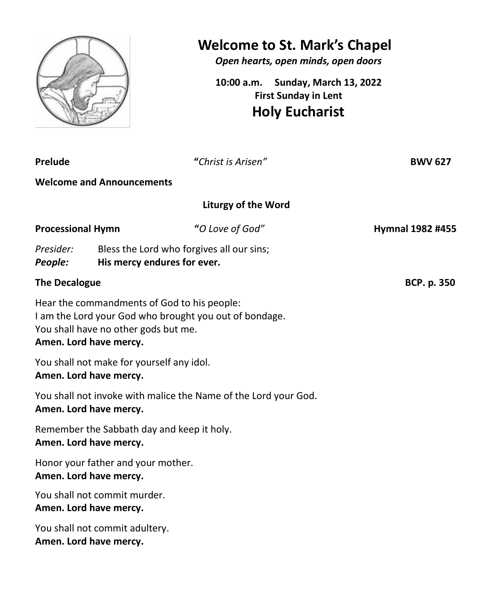

# **Welcome to St. Mark's Chapel**

*Open hearts, open minds, open doors*

**10:00 a.m. Sunday, March 13, 2022 First Sunday in Lent Holy Eucharist**

| Prelude                                                                                                                                                                 |                                           | "Christ is Arisen"                                                       | <b>BWV 627</b>          |  |  |  |
|-------------------------------------------------------------------------------------------------------------------------------------------------------------------------|-------------------------------------------|--------------------------------------------------------------------------|-------------------------|--|--|--|
| <b>Welcome and Announcements</b>                                                                                                                                        |                                           |                                                                          |                         |  |  |  |
| Liturgy of the Word                                                                                                                                                     |                                           |                                                                          |                         |  |  |  |
| <b>Processional Hymn</b>                                                                                                                                                |                                           | "O Love of God"                                                          | <b>Hymnal 1982 #455</b> |  |  |  |
| Presider:<br>People:                                                                                                                                                    |                                           | Bless the Lord who forgives all our sins;<br>His mercy endures for ever. |                         |  |  |  |
| <b>The Decalogue</b><br><b>BCP. p. 350</b>                                                                                                                              |                                           |                                                                          |                         |  |  |  |
| Hear the commandments of God to his people:<br>I am the Lord your God who brought you out of bondage.<br>You shall have no other gods but me.<br>Amen. Lord have mercy. |                                           |                                                                          |                         |  |  |  |
| Amen. Lord have mercy.                                                                                                                                                  | You shall not make for yourself any idol. |                                                                          |                         |  |  |  |
| You shall not invoke with malice the Name of the Lord your God.<br>Amen. Lord have mercy.                                                                               |                                           |                                                                          |                         |  |  |  |
| Remember the Sabbath day and keep it holy.<br>Amen. Lord have mercy.                                                                                                    |                                           |                                                                          |                         |  |  |  |
| Honor your father and your mother.<br>Amen. Lord have mercy.                                                                                                            |                                           |                                                                          |                         |  |  |  |
| Amen. Lord have mercy.                                                                                                                                                  | You shall not commit murder.              |                                                                          |                         |  |  |  |
| Amen. Lord have mercy.                                                                                                                                                  | You shall not commit adultery.            |                                                                          |                         |  |  |  |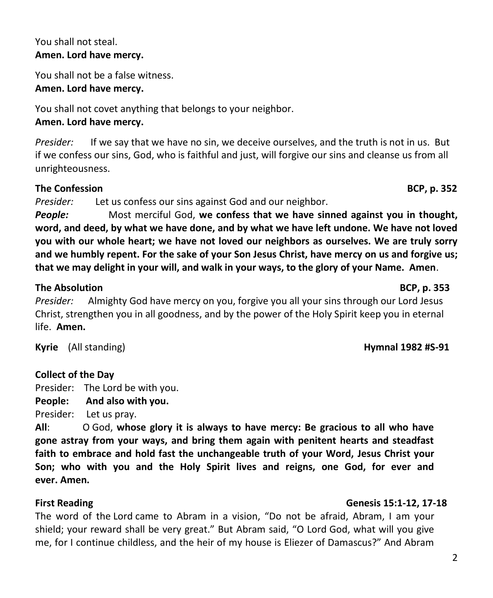You shall not steal. **Amen. Lord have mercy.**

You shall not be a false witness. **Amen. Lord have mercy.**

You shall not covet anything that belongs to your neighbor.

## **Amen. Lord have mercy.**

*Presider:* If we say that we have no sin, we deceive ourselves, and the truth is not in us. But if we confess our sins, God, who is faithful and just, will forgive our sins and cleanse us from all unrighteousness.

### **The Confession BCP, p. 352**

*Presider:* Let us confess our sins against God and our neighbor.

*People:* **Most merciful God, we confess that we have sinned against you in thought, word, and deed, by what we have done, and by what we have left undone. We have not loved you with our whole heart; we have not loved our neighbors as ourselves. We are truly sorry and we humbly repent. For the sake of your Son Jesus Christ, have mercy on us and forgive us; that we may delight in your will, and walk in your ways, to the glory of your Name. Amen**.

### **The Absolution BCP, p. 353**

*Presider:* Almighty God have mercy on you, forgive you all your sins through our Lord Jesus Christ, strengthen you in all goodness, and by the power of the Holy Spirit keep you in eternal life. **Amen.**

**Kyrie** (All standing) **Hymnal 1982 #S-91**

# **Collect of the Day**

Presider: The Lord be with you.

**People: And also with you.**

Presider: Let us pray.

**All**: O God, **whose glory it is always to have mercy: Be gracious to all who have gone astray from your ways, and bring them again with penitent hearts and steadfast faith to embrace and hold fast the unchangeable truth of your Word, Jesus Christ your Son; who with you and the Holy Spirit lives and reigns, one God, for ever and ever. Amen.**

The word of the Lord came to Abram in a vision, "Do not be afraid, Abram, I am your shield; your reward shall be very great." But Abram said, "O Lord God, what will you give me, for I continue childless, and the heir of my house is Eliezer of Damascus?" And Abram

**First Reading Genesis 15:1-12, 17-18**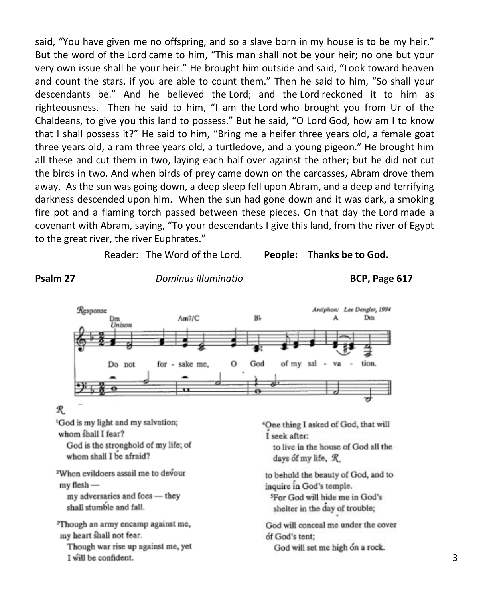said, "You have given me no offspring, and so a slave born in my house is to be my heir." But the word of the Lord came to him, "This man shall not be your heir; no one but your very own issue shall be your heir." He brought him outside and said, "Look toward heaven and count the stars, if you are able to count them." Then he said to him, "So shall your descendants be." And he believed the Lord; and the Lord reckoned it to him as righteousness. Then he said to him, "I am the Lord who brought you from Ur of the Chaldeans, to give you this land to possess." But he said, "O Lord God, how am I to know that I shall possess it?" He said to him, "Bring me a heifer three years old, a female goat three years old, a ram three years old, a turtledove, and a young pigeon." He brought him all these and cut them in two, laying each half over against the other; but he did not cut the birds in two. And when birds of prey came down on the carcasses, Abram drove them away. As the sun was going down, a deep sleep fell upon Abram, and a deep and terrifying darkness descended upon him. When the sun had gone down and it was dark, a smoking fire pot and a flaming torch passed between these pieces. On that day the Lord made a covenant with Abram, saying, "To your descendants I give this land, from the river of Egypt to the great river, the river Euphrates."

Reader: The Word of the Lord. **People: Thanks be to God.**

#### **Psalm 27** *Dominus illuminatio* **BCP, Page 617**



### R.

<sup>1</sup>God is my light and my salvation; whom shall I fear? God is the stronghold of my life; of whom shall I be afraid?

<sup>2</sup>When evildoers assail me to devour  $my$  flesh  $$ my adversaries and foes - they

shall stumble and fall.

Though an army encamp against me, my heart shall not fear. Though war rise up against me, yet I will be confident.

<sup>4</sup>One thing I asked of God, that will I seek after:

to live in the house of God all the days of my life, R

to behold the beauty of God, and to inquire in God's temple.

<sup>5</sup>For God will hide me in God's shelter in the day of trouble;

God will conceal me under the cover of God's tent; God will set me high on a rock.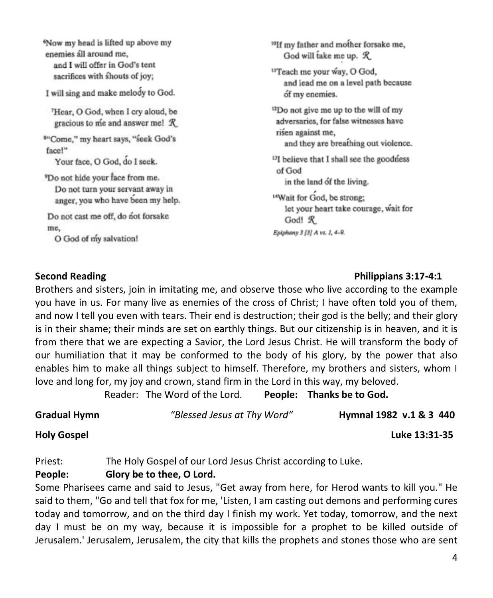Now my head is lifted up above my enemies áll around me, and I will offer in God's tent sacrifices with shouts of joy; I will sing and make melody to God. 'Hear, O God, when I cry aloud, be gracious to me and answer me!  $R$ <sup>8</sup>"Come," my heart says, "seek God's face!" Your face, O God, do I seek. 'Do not hide your face from me.

Do not turn your servant away in anger, you who have been my help.

Do not cast me off, do not forsake me,

O God of my salvation!

<sup>10</sup>If my father and mother forsake me, God will take me up. R

<sup>11</sup>Teach me your way, O God, and lead me on a level path because of my enemies.

<sup>12</sup>Do not give me up to the will of my adversaries, for false witnesses have riśen against me, and they are breathing out violence.

<sup>13</sup>I believe that I shall see the goodness of God in the land of the living.

<sup>14</sup>Wait for God, be strong: let your heart take courage, wait for God! R Epiphany 3 [3] A vs. 1, 4-9.

**Second Reading Second Reading Philippians 3:17-4:1** 

Brothers and sisters, join in imitating me, and observe those who live according to the example you have in us. For many live as enemies of the cross of Christ; I have often told you of them, and now I tell you even with tears. Their end is destruction; their god is the belly; and their glory is in their shame; their minds are set on earthly things. But our citizenship is in heaven, and it is from there that we are expecting a Savior, the Lord Jesus Christ. He will transform the body of our humiliation that it may be conformed to the body of his glory, by the power that also enables him to make all things subject to himself. Therefore, my brothers and sisters, whom I love and long for, my joy and crown, stand firm in the Lord in this way, my beloved.

Reader: The Word of the Lord. **People: Thanks be to God.**

**Gradual Hymn** *"Blessed Jesus at Thy Word"* **Hymnal 1982 v.1 & 3 440**

### **Holy Gospel Luke 13:31-35**

# Priest: The Holy Gospel of our Lord Jesus Christ according to Luke.

# **People: Glory be to thee, O Lord.**

Some Pharisees came and said to Jesus, "Get away from here, for Herod wants to kill you." He said to them, "Go and tell that fox for me, 'Listen, I am casting out demons and performing cures today and tomorrow, and on the third day I finish my work. Yet today, tomorrow, and the next day I must be on my way, because it is impossible for a prophet to be killed outside of Jerusalem.' Jerusalem, Jerusalem, the city that kills the prophets and stones those who are sent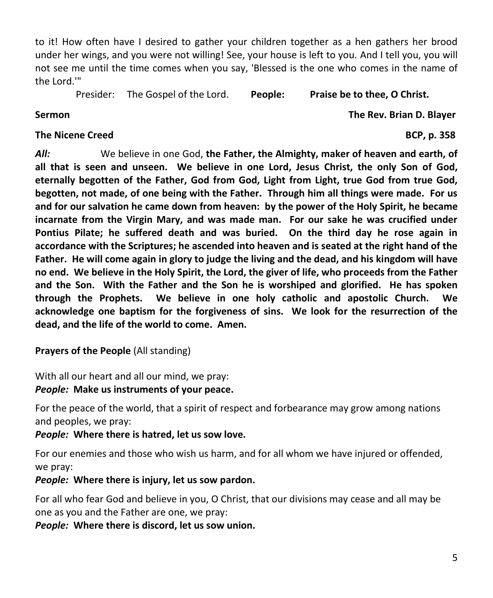to it! How often have I desired to gather your children together as a hen gathers her brood under her wings, and you were not willing! See, your house is left to you. And I tell you, you will not see me until the time comes when you say, 'Blessed is the one who comes in the name of the Lord.'"

Presider: The Gospel of the Lord. **People: Praise be to thee, O Christ.**

# **Sermon The Rev. Brian D. Blayer**

### **The Nicene Creed BCP, p. 358 BCP, p. 358**

*All:*We believe in one God, **the Father, the Almighty, maker of heaven and earth, of all that is seen and unseen. We believe in one Lord, Jesus Christ, the only Son of God, eternally begotten of the Father, God from God, Light from Light, true God from true God, begotten, not made, of one being with the Father. Through him all things were made. For us and for our salvation he came down from heaven: by the power of the Holy Spirit, he became incarnate from the Virgin Mary, and was made man. For our sake he was crucified under Pontius Pilate; he suffered death and was buried. On the third day he rose again in accordance with the Scriptures; he ascended into heaven and is seated at the right hand of the Father. He will come again in glory to judge the living and the dead, and his kingdom will have no end. We believe in the Holy Spirit, the Lord, the giver of life, who proceeds from the Father and the Son. With the Father and the Son he is worshiped and glorified. He has spoken through the Prophets. We believe in one holy catholic and apostolic Church. We acknowledge one baptism for the forgiveness of sins. We look for the resurrection of the dead, and the life of the world to come. Amen.**

**Prayers of the People** (All standing)

With all our heart and all our mind, we pray:

*People:* **Make us instruments of your peace.**

For the peace of the world, that a spirit of respect and forbearance may grow among nations and peoples, we pray:

### *People:* **Where there is hatred, let us sow love.**

For our enemies and those who wish us harm, and for all whom we have injured or offended, we pray:

# *People:* **Where there is injury, let us sow pardon.**

For all who fear God and believe in you, O Christ, that our divisions may cease and all may be one as you and the Father are one, we pray:

*People:* **Where there is discord, let us sow union.**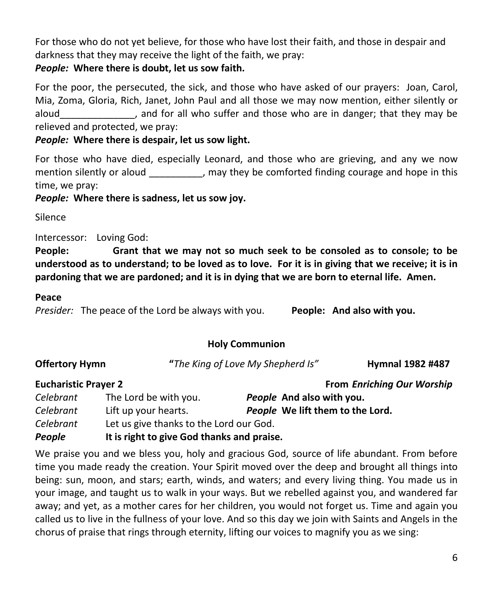For those who do not yet believe, for those who have lost their faith, and those in despair and darkness that they may receive the light of the faith, we pray:

## *People:* **Where there is doubt, let us sow faith.**

For the poor, the persecuted, the sick, and those who have asked of our prayers: Joan, Carol, Mia, Zoma, Gloria, Rich, Janet, John Paul and all those we may now mention, either silently or aloud\_\_\_\_\_\_\_\_\_\_\_\_\_\_, and for all who suffer and those who are in danger; that they may be relieved and protected, we pray:

### *People:* **Where there is despair, let us sow light.**

For those who have died, especially Leonard, and those who are grieving, and any we now mention silently or aloud and  $\sim$  , may they be comforted finding courage and hope in this time, we pray:

*People:* **Where there is sadness, let us sow joy.**

Silence

Intercessor: Loving God:

**People: Grant that we may not so much seek to be consoled as to console; to be understood as to understand; to be loved as to love. For it is in giving that we receive; it is in pardoning that we are pardoned; and it is in dying that we are born to eternal life. Amen.**

#### **Peace**

*Presider:* The peace of the Lord be always with you. **People: And also with you.** 

### **Holy Communion**

| <b>Offertory Hymn</b>       |                       | "The King of Love My Shepherd Is"<br><b>Hymnal 1982 #487</b> |
|-----------------------------|-----------------------|--------------------------------------------------------------|
| <b>Eucharistic Prayer 2</b> |                       | From Enriching Our Worship                                   |
| Celebrant                   | The Lord be with you. | People And also with you.                                    |
| Celebrant                   | Lift up your hearts.  | People We lift them to the Lord.                             |

*Celebrant* Let us give thanks to the Lord our God.

*People* **It is right to give God thanks and praise.** 

We praise you and we bless you, holy and gracious God, source of life abundant. From before time you made ready the creation. Your Spirit moved over the deep and brought all things into being: sun, moon, and stars; earth, winds, and waters; and every living thing. You made us in your image, and taught us to walk in your ways. But we rebelled against you, and wandered far away; and yet, as a mother cares for her children, you would not forget us. Time and again you called us to live in the fullness of your love. And so this day we join with Saints and Angels in the chorus of praise that rings through eternity, lifting our voices to magnify you as we sing: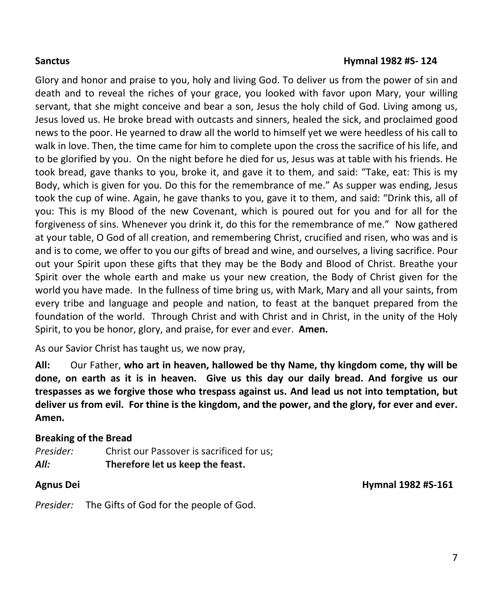#### **Sanctus Hymnal 1982 #S- 124**

Glory and honor and praise to you, holy and living God. To deliver us from the power of sin and death and to reveal the riches of your grace, you looked with favor upon Mary, your willing servant, that she might conceive and bear a son, Jesus the holy child of God. Living among us, Jesus loved us. He broke bread with outcasts and sinners, healed the sick, and proclaimed good news to the poor. He yearned to draw all the world to himself yet we were heedless of his call to walk in love. Then, the time came for him to complete upon the cross the sacrifice of his life, and to be glorified by you. On the night before he died for us, Jesus was at table with his friends. He took bread, gave thanks to you, broke it, and gave it to them, and said: "Take, eat: This is my Body, which is given for you. Do this for the remembrance of me." As supper was ending, Jesus took the cup of wine. Again, he gave thanks to you, gave it to them, and said: "Drink this, all of you: This is my Blood of the new Covenant, which is poured out for you and for all for the forgiveness of sins. Whenever you drink it, do this for the remembrance of me." Now gathered at your table, O God of all creation, and remembering Christ, crucified and risen, who was and is and is to come, we offer to you our gifts of bread and wine, and ourselves, a living sacrifice. Pour out your Spirit upon these gifts that they may be the Body and Blood of Christ. Breathe your Spirit over the whole earth and make us your new creation, the Body of Christ given for the world you have made. In the fullness of time bring us, with Mark, Mary and all your saints, from every tribe and language and people and nation, to feast at the banquet prepared from the foundation of the world. Through Christ and with Christ and in Christ, in the unity of the Holy Spirit, to you be honor, glory, and praise, for ever and ever. **Amen.**

As our Savior Christ has taught us, we now pray,

**All:** Our Father, **who art in heaven, hallowed be thy Name, thy kingdom come, thy will be done, on earth as it is in heaven. Give us this day our daily bread. And forgive us our trespasses as we forgive those who trespass against us. And lead us not into temptation, but deliver us from evil. For thine is the kingdom, and the power, and the glory, for ever and ever. Amen.**

### **Breaking of the Bread**

*Presider:* Christ our Passover is sacrificed for us; *All:* **Therefore let us keep the feast.**

Agnus Dei **Hymnal 1982 #S-161** 

*Presider:* The Gifts of God for the people of God.